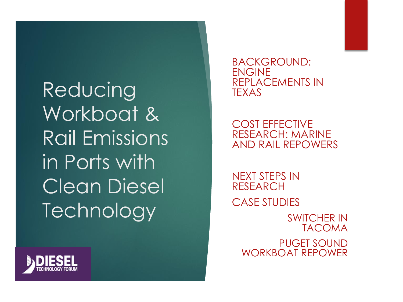**Reducing** Workboat & Rail Emissions in Ports with Clean Diesel **Technology** 



COST EFFECTIVE RESEARCH: MARINE AND RAIL REPOWERS

NEXT STEPS IN RESEARCH CASE STUDIES

> SWITCHER IN TACOMA PUGET SOUND WORKBOAT REPOWER

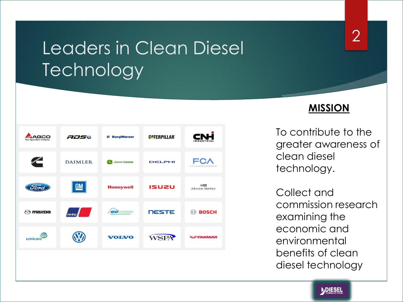### Leaders in Clean Diesel **Technology**





2

To contribute to the greater awareness of clean diesel technology.

Collect and commission research examining the economic and environmental benefits of clean diesel technology

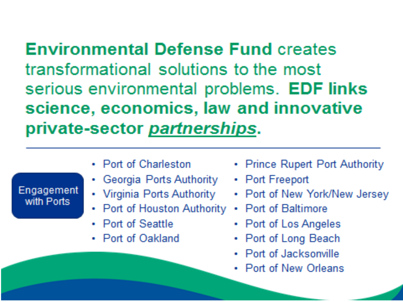**Environmental Defense Fund creates** transformational solutions to the most serious environmental problems. EDF links science, economics, law and innovative private-sector partnerships.

Engagement with Ports

- Port of Charleston
- Georgia Ports Authority
- Virginia Ports Authority
- Port of Houston Authority
- Port of Seattle
- Port of Oakland
- Prince Rupert Port Authority
- Port Freeport
- Port of New York/New Jersey
- Port of Baltimore
- Port of Los Angeles
- Port of Long Beach
- Port of Jacksonville
- Port of New Orleans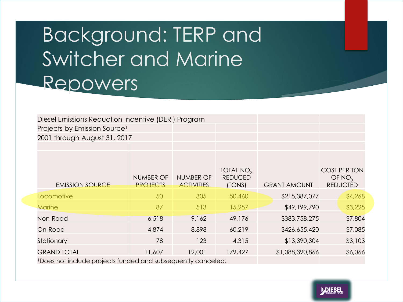# Background: TERP and Switcher and Marine Repowers

| Diesel Emissions Reduction Incentive (DERI) Program |  |  |  |  |  |  |  |
|-----------------------------------------------------|--|--|--|--|--|--|--|
| Projects by Emission Source <sup>1</sup>            |  |  |  |  |  |  |  |
| 2001 through August 31, 2017                        |  |  |  |  |  |  |  |
|                                                     |  |  |  |  |  |  |  |
|                                                     |  |  |  |  |  |  |  |

| <b>EMISSION SOURCE</b> | <b>NUMBER OF</b><br><b>PROJECTS</b>                                          | <b>NUMBER OF</b><br><b>ACTIVITIES</b> | TOTAL $NOx$<br><b>REDUCED</b><br>(TONS) | <b>GRANT AMOUNT</b> | <b>COST PER TON</b><br>OF $NO_{x}$<br><b>REDUCTED</b> |
|------------------------|------------------------------------------------------------------------------|---------------------------------------|-----------------------------------------|---------------------|-------------------------------------------------------|
| Locomotive             | 50                                                                           | 305                                   | 50,460                                  | \$215,387,077       | \$4,268                                               |
| <b>Marine</b>          | 87                                                                           | 513                                   | 15,257                                  | \$49,199,790        | \$3,225                                               |
| Non-Road               | 6,518                                                                        | 9,162                                 | 49,176                                  | \$383,758,275       | \$7,804                                               |
| On-Road                | 4,874                                                                        | 8,898                                 | 60,219                                  | \$426,655,420       | \$7,085                                               |
| Stationary             | 78                                                                           | 123                                   | 4,315                                   | \$13,390,304        | \$3,103                                               |
| <b>GRAND TOTAL</b>     | 11,607                                                                       | 19,001                                | 179,427                                 | \$1,088,390,866     | \$6,066                                               |
|                        | IDe es vez tivel unha vez in eta fundad aus deus enterem unhur e aus en la d |                                       |                                         |                     |                                                       |

1Does not include projects funded and subsequently canceled.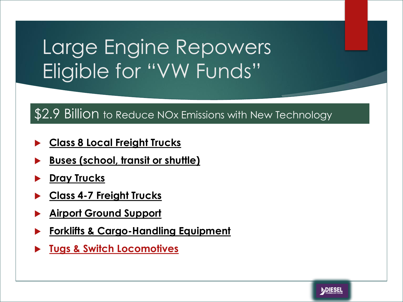# Large Engine Repowers Eligible for "VW Funds"

### \$2.9 Billion to Reduce NOx Emissions with New Technology

- **Class 8 Local Freight Trucks**
- **Buses (school, transit or shuttle)**
- **Dray Trucks**
- **Class 4-7 Freight Trucks**
- **Airport Ground Support**
- **Forklifts & Cargo-Handling Equipment**
- **Tugs & Switch Locomotives**

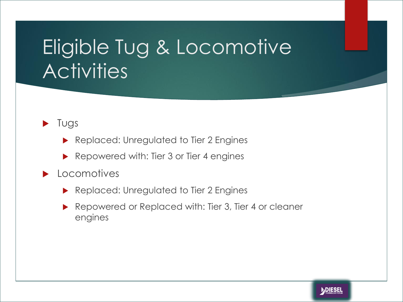# Eligible Tug & Locomotive **Activities**

 $\blacktriangleright$  Tugs

- Replaced: Unregulated to Tier 2 Engines
- Repowered with: Tier 3 or Tier 4 engines
- **Locomotives** 
	- Replaced: Unregulated to Tier 2 Engines
	- Repowered or Replaced with: Tier 3, Tier 4 or cleaner engines

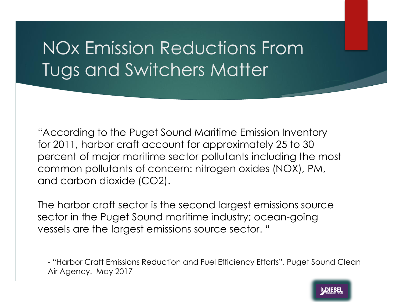## NOx Emission Reductions From Tugs and Switchers Matter

"According to the Puget Sound Maritime Emission Inventory for 2011, harbor craft account for approximately 25 to 30 percent of major maritime sector pollutants including the most common pollutants of concern: nitrogen oxides (NOX), PM, and carbon dioxide (CO2).

The harbor craft sector is the second largest emissions source sector in the Puget Sound maritime industry; ocean-going vessels are the largest emissions source sector. "

- "Harbor Craft Emissions Reduction and Fuel Efficiency Efforts". Puget Sound Clean Air Agency. May 2017

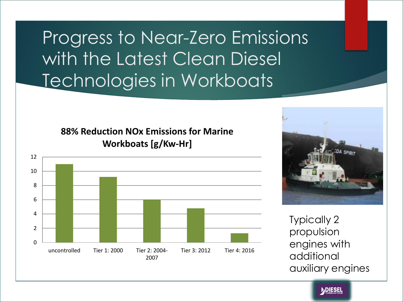## Progress to Near-Zero Emissions with the Latest Clean Diesel Technologies in Workboats

**88% Reduction NOx Emissions for Marine Workboats [g/Kw-Hr]**





Typically 2 propulsion engines with additional auxiliary engines

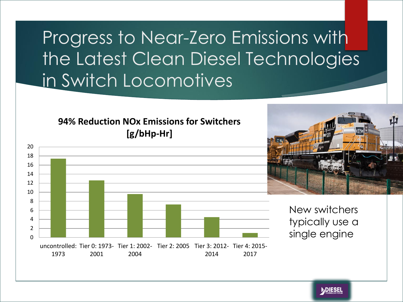## Progress to Near-Zero Emissions with the Latest Clean Diesel Technologies in Switch Locomotives

#### **94% Reduction NOx Emissions for Switchers [g/bHp-Hr]**





New switchers typically use a single engine

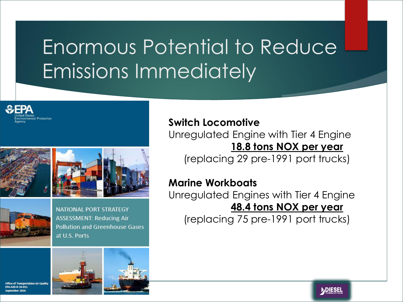# Enormous Potential to Reduce Emissions Immediately







**NATIONAL PORT STRATEGY ASSESSMENT: Reducing Air Pollution and Greenhouse Gases** at U.S. Ports





### **Switch Locomotive**

Unregulated Engine with Tier 4 Engine **18.8 tons NOX per year**

(replacing 29 pre-1991 port trucks)

#### **Marine Workboats**

Unregulated Engines with Tier 4 Engine **48.4 tons NOX per year**

(replacing 75 pre-1991 port trucks)

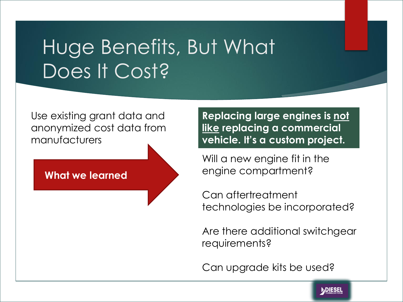# Huge Benefits, But What Does It Cost?

Use existing grant data and anonymized cost data from manufacturers

**What we learned**

**Replacing large engines is not like replacing a commercial vehicle. It's a custom project.**

Will a new engine fit in the engine compartment?

Can aftertreatment technologies be incorporated?

Are there additional switchgear requirements?

Can upgrade kits be used?

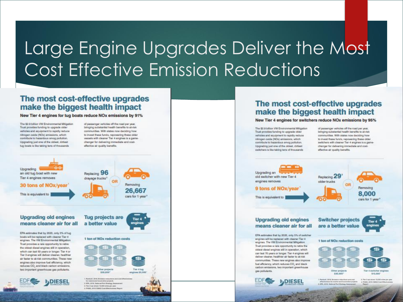## Large Engine Upgrades Deliver the Most Cost Effective Emission Reductions

#### The most cost-effective upgrades make the biggest health impact

#### New Tier 4 engines for tug boats reduce NOx emissions by 91%

The \$2.9 billion VW Environmental Mitigation Trust provides funding to upgrade older vehicles and equipment to rapidly reduce nitrogen cxide (NOx) emissions, which contribute to hazardous smog pollution. Upgrading just one of the oldest, dirtiest tug boats is like taking tens of thousands

of passenger vehicles off the road per year. bringing substantial health benefits to at-risk communities. With states now deciding how to invest these funds, repowering these older vessels with cleaner Tier 4 engines is a gamechanger for delivering immediate and costeffective air quality benefits.



#### The most cost-effective upgrades make the biggest health impact

#### New Tier 4 engines for switchers reduce NOx emissions by 95%

The \$2.9 billion VW Environmental Mitigation Trust provides funding to upgrade older vehicles and equipment to rapidly niduce nitrogen coide (NOx) emissions, which contribute to hazardous smog pollution. Upgrading just one of the oldest, dirtiest switchers is like taking tens of thousands.

of passenger vehicles off the road per year, bringing substantial health benefits to at-risk communities. With states now deciding how to invest these funds, repowering these older switchers with cleaner Tier 4 engines is a gamechanger for delivering immediate and costeffective air quality benefits.



engines. The VW Emironmental Mitigation Trust provides a rare opportunity to retire the oldest diesel engines still in operation, which can last 70 years or longer. Tier 4 engines will deliver cleaner, healthier air faster to at-risk communities. These new engines also improve fuel efficiency, which reduces CO, and black carbon emissions, two important greenhouse gas pollutants.

**DDIESEL** 

1 ton of NOx reduction costs

Other projects Tiar 4 awticher engines \$30,000\* 915,000

**Chairman Street Box** 3 EW, 2014, Retired Fort Bratings

3. Ten 3 per drives 12.000 miles per 4. PHIRM, 2018 CMM2 CHAIR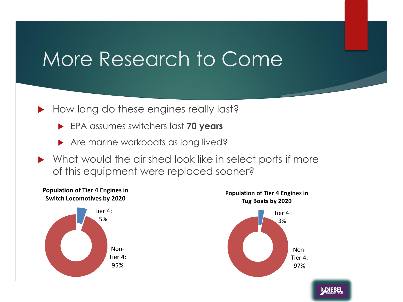## More Research to Come

- How long do these engines really last?
	- EPA assumes switchers last **70 years**
	- Are marine workboats as long lived?
- ▶ What would the air shed look like in select ports if more of this equipment were replaced sooner?

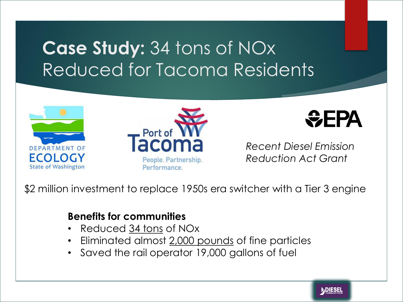## **Case Study:** 34 tons of NOx Reduced for Tacoma Residents







*Recent Diesel Emission Reduction Act Grant*

\$2 million investment to replace 1950s era switcher with a Tier 3 engine

### **Benefits for communities**

- Reduced 34 tons of NOx
- Eliminated almost 2,000 pounds of fine particles
- Saved the rail operator 19,000 gallons of fuel

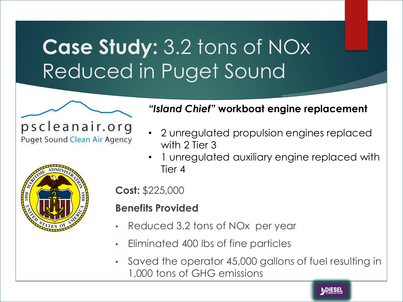# **Case Study:** 3.2 tons of NOx Reduced in Puget Sound



pscleanair.org **Puget Sound Clean Air Agency** 



#### *"Island Chief"* **workboat engine replacement**

- 2 unregulated propulsion engines replaced with 2 Tier 3
- 1 unregulated auxiliary engine replaced with Tier 4

**Cost:** \$225,000

#### **Benefits Provided**

- Reduced 3.2 tons of NOx per year
- Eliminated 400 lbs of fine particles
- Saved the operator 45,000 gallons of fuel resulting in 1,000 tons of GHG emissions